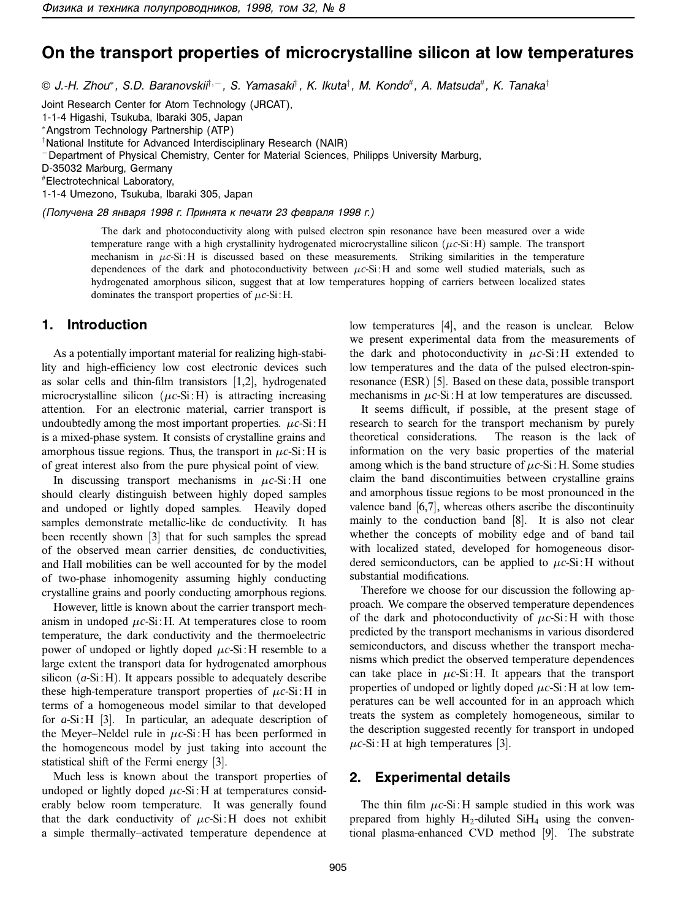# **On the transport properties of microcrystalline silicon at low temperatures**

© J.-H. Zhou<sup>∗</sup>, S.D. Baranovskii†,<sup>−</sup>, S. Yamasaki†, K. Ikuta†, M. Kondo#, A. Matsuda#, K. Tanaka†

Joint Research Center for Atom Technology (JRCAT),

1-1-4 Higashi, Tsukuba, Ibaraki 305, Japan

<sup>∗</sup>Angstrom Technology Partnership (ATP)

† National Institute for Advanced Interdisciplinary Research (NAIR)

<sup>−</sup>Department of Physical Chemistry, Center for Material Sciences, Philipps University Marburg,

D-35032 Marburg, Germany

# Electrotechnical Laboratory,

1-1-4 Umezono, Tsukuba, Ibaraki 305, Japan

(Получена 28 января 1998 г. Принята к печати 23 февраля 1998 г.)

The dark and photoconductivity along with pulsed electron spin resonance have been measured over a wide temperature range with a high crystallinity hydrogenated microcrystalline silicon  $(\mu c$ -Si: H) sample. The transport mechanism in  $\mu c$ -Si:H is discussed based on these measurements. Striking similarities in the temperature dependences of the dark and photoconductivity between  $\mu c$ -Si: H and some well studied materials, such as hydrogenated amorphous silicon, suggest that at low temperatures hopping of carriers between localized states dominates the transport properties of  $\mu$ *c*-Si: H.

### **1. Introduction**

As a potentially important material for realizing high-stability and high-efficiency low cost electronic devices such as solar cells and thin-film transistors [1,2], hydrogenated microcrystalline silicon  $(\mu c\text{-Si:H})$  is attracting increasing attention. For an electronic material, carrier transport is undoubtedly among the most important properties.  $\mu$ *c*-Si: H is a mixed-phase system. It consists of crystalline grains and amorphous tissue regions. Thus, the transport in  $\mu$ *c*-Si: H is of great interest also from the pure physical point of view.

In discussing transport mechanisms in  $\mu$ *c*-Si : H one should clearly distinguish between highly doped samples and undoped or lightly doped samples. Heavily doped samples demonstrate metallic-like dc conductivity. It has been recently shown [3] that for such samples the spread of the observed mean carrier densities, dc conductivities, and Hall mobilities can be well accounted for by the model of two-phase inhomogenity assuming highly conducting crystalline grains and poorly conducting amorphous regions.

However, little is known about the carrier transport mechanism in undoped  $\mu$ *c*-Si : H. At temperatures close to room temperature, the dark conductivity and the thermoelectric power of undoped or lightly doped µ*c*-Si : H resemble to a large extent the transport data for hydrogenated amorphous silicon  $(a-Si:H)$ . It appears possible to adequately describe these high-temperature transport properties of  $\mu$ *c*-Si: H in terms of a homogeneous model similar to that developed for *a*-Si: H [3]. In particular, an adequate description of the Meyer–Neldel rule in  $\mu$ c-Si: H has been performed in the homogeneous model by just taking into account the statistical shift of the Fermi energy [3].

Much less is known about the transport properties of undoped or lightly doped  $\mu$ *c*-Si : H at temperatures considerably below room temperature. It was generally found that the dark conductivity of  $\mu$ *c*-Si: H does not exhibit a simple thermally–activated temperature dependence at

low temperatures [4], and the reason is unclear. Below we present experimental data from the measurements of the dark and photoconductivity in  $\mu$ *c*-Si: H extended to low temperatures and the data of the pulsed electron-spinresonance (ESR) [5]. Based on these data, possible transport mechanisms in  $\mu$ *c*-Si: H at low temperatures are discussed.

It seems difficult, if possible, at the present stage of research to search for the transport mechanism by purely theoretical considerations. The reason is the lack of information on the very basic properties of the material among which is the band structure of  $\mu$ *c*-Si : H. Some studies claim the band discontimuities between crystalline grains and amorphous tissue regions to be most pronounced in the valence band [6,7], whereas others ascribe the discontinuity mainly to the conduction band [8]. It is also not clear whether the concepts of mobility edge and of band tail with localized stated, developed for homogeneous disordered semiconductors, can be applied to  $\mu$ *c*-Si: H without substantial modifications.

Therefore we choose for our discussion the following approach. We compare the observed temperature dependences of the dark and photoconductivity of  $\mu$ *c*-Si: H with those predicted by the transport mechanisms in various disordered semiconductors, and discuss whether the transport mechanisms which predict the observed temperature dependences can take place in  $\mu c$ -Si: H. It appears that the transport properties of undoped or lightly doped  $\mu$ *c*-Si: H at low temperatures can be well accounted for in an approach which treats the system as completely homogeneous, similar to the description suggested recently for transport in undoped  $\mu$ *c*-Si: H at high temperatures [3].

#### **2. Experimental details**

The thin film  $\mu c$ -Si: H sample studied in this work was prepared from highly  $H_2$ -diluted Si $H_4$  using the conventional plasma-enhanced CVD method [9]. The substrate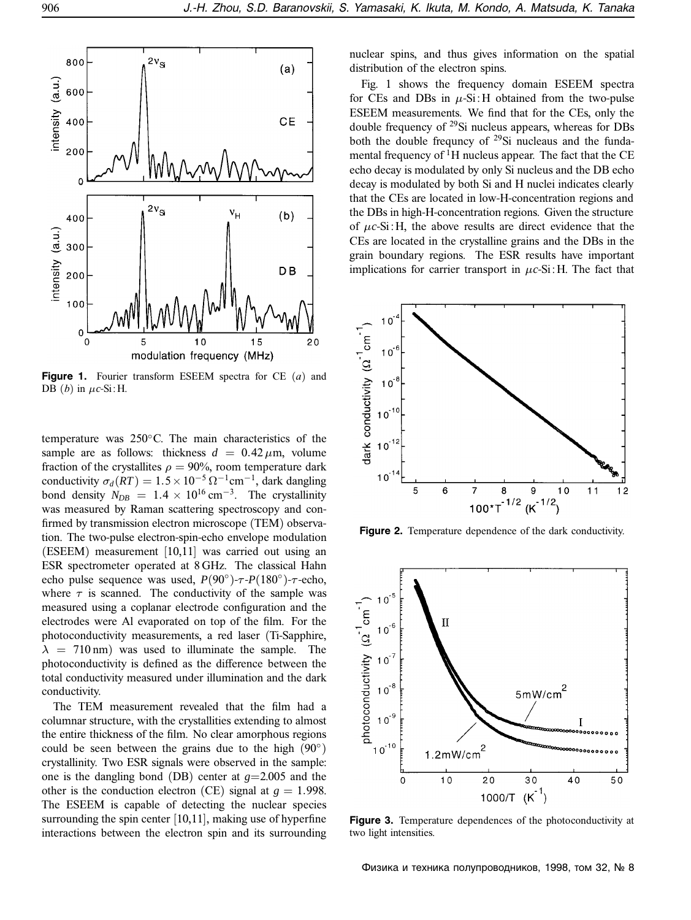

**Figure 1.** Fourier transform ESEEM spectra for CE (*a*) and DB  $(b)$  in  $\mu$ *c*-Si: H.

temperature was 250◦C. The main characteristics of the sample are as follows: thickness  $d = 0.42 \,\mu \text{m}$ , volume fraction of the crystallites  $\rho = 90\%$ , room temperature dark conductivity  $\sigma_d(RT) = 1.5 \times 10^{-5} \Omega^{-1}$ cm<sup>-1</sup>, dark dangling bond density  $N_{DB} = 1.4 \times 10^{16} \text{ cm}^{-3}$ . The crystallinity was measured by Raman scattering spectroscopy and confirmed by transmission electron microscope (TEM) observation. The two-pulse electron-spin-echo envelope modulation (ESEEM) measurement [10,11] was carried out using an ESR spectrometer operated at 8 GHz. The classical Hahn echo pulse sequence was used,  $P(90°)$ - $\tau$ - $P(180°)$ - $\tau$ -echo, where  $\tau$  is scanned. The conductivity of the sample was measured using a coplanar electrode configuration and the electrodes were Al evaporated on top of the film. For the photoconductivity measurements, a red laser (Ti-Sapphire,  $\lambda$  = 710 nm) was used to illuminate the sample. The photoconductivity is defined as the difference between the total conductivity measured under illumination and the dark conductivity.

The TEM measurement revealed that the film had a columnar structure, with the crystallities extending to almost the entire thickness of the film. No clear amorphous regions could be seen between the grains due to the high  $(90°)$ crystallinity. Two ESR signals were observed in the sample: one is the dangling bond (DB) center at  $g=2.005$  and the other is the conduction electron (CE) signal at  $g = 1.998$ . The ESEEM is capable of detecting the nuclear species surrounding the spin center [10,11], making use of hyperfine interactions between the electron spin and its surrounding nuclear spins, and thus gives information on the spatial distribution of the electron spins.

Fig. 1 shows the frequency domain ESEEM spectra for CEs and DBs in  $\mu$ -Si: H obtained from the two-pulse ESEEM measurements. We find that for the CEs, only the double frequency of  $^{29}$ Si nucleus appears, whereas for DBs both the double frequncy of 29Si nucleaus and the fundamental frequency of  ${}^{1}$ H nucleus appear. The fact that the CE echo decay is modulated by only Si nucleus and the DB echo decay is modulated by both Si and H nuclei indicates clearly that the CEs are located in low-H-concentration regions and the DBs in high-H-concentration regions. Given the structure of  $\mu$ *c*-Si: H, the above results are direct evidence that the CEs are located in the crystalline grains and the DBs in the grain boundary regions. The ESR results have important implications for carrier transport in  $\mu$ *c*-Si : H. The fact that



**Figure 2.** Temperature dependence of the dark conductivity.



**Figure 3.** Temperature dependences of the photoconductivity at two light intensities.

Физика и техника полупроводников, 1998, том 32, № 8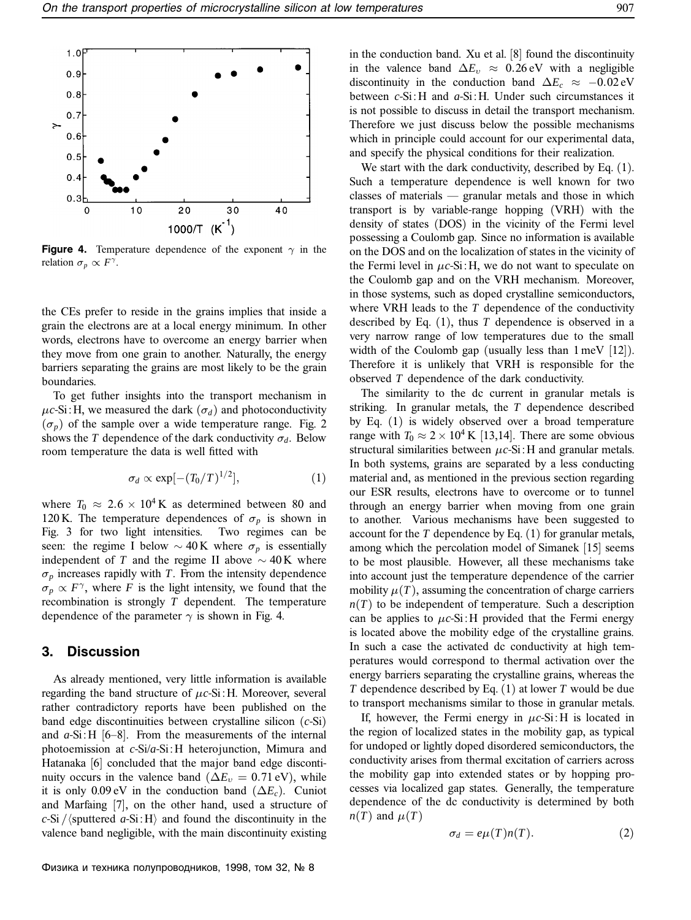

**Figure 4.** Temperature dependence of the exponent  $\gamma$  in the relation  $\sigma_p \propto F^{\gamma}$ .

the CEs prefer to reside in the grains implies that inside a grain the electrons are at a local energy minimum. In other words, electrons have to overcome an energy barrier when they move from one grain to another. Naturally, the energy barriers separating the grains are most likely to be the grain boundaries.

To get futher insights into the transport mechanism in  $\mu$ *c*-Si: H, we measured the dark ( $\sigma$ <sup> $d$ </sup>) and photoconductivity  $(\sigma_p)$  of the sample over a wide temperature range. Fig. 2 shows the *T* dependence of the dark conductivity  $\sigma_d$ . Below room temperature the data is well fitted with

$$
\sigma_d \propto \exp[-(T_0/T)^{1/2}], \qquad (1)
$$

where  $T_0 \approx 2.6 \times 10^4$  K as determined between 80 and 120 K. The temperature dependences of  $\sigma_p$  is shown in Fig. 3 for two light intensities. Two regimes can be seen: the regime I below  $\sim$  40 K where  $\sigma_p$  is essentially independent of *T* and the regime II above  $\sim$  40 K where  $\sigma_p$  increases rapidly with *T*. From the intensity dependence  $\sigma_p \propto F^{\gamma}$ , where *F* is the light intensity, we found that the recombination is strongly *T* dependent. The temperature dependence of the parameter  $\gamma$  is shown in Fig. 4.

# **3. Discussion**

As already mentioned, very little information is available regarding the band structure of µ*c*-Si : H. Moreover, several rather contradictory reports have been published on the band edge discontinuities between crystalline silicon (*c*-Si) and  $a-Si:H$  [6–8]. From the measurements of the internal photoemission at *c*-Si/*a*-Si : H heterojunction, Mimura and Hatanaka [6] concluded that the major band edge discontinuity occurs in the valence band ( $\Delta E_v = 0.71 \text{ eV}$ ), while it is only 0.09 eV in the conduction band  $(\Delta E_c)$ . Cuniot and Marfaing [7], on the other hand, used a structure of  $c$ -Si / $\langle$ sputtered *a*-Si : H $\rangle$  and found the discontinuity in the valence band negligible, with the main discontinuity existing

in the conduction band. Xu et al. [8] found the discontinuity in the valence band  $\Delta E_v \approx 0.26 \text{ eV}$  with a negligible discontinuity in the conduction band  $\Delta E_c \approx -0.02 \text{ eV}$ between *c*-Si : H and *a*-Si : H. Under such circumstances it is not possible to discuss in detail the transport mechanism. Therefore we just discuss below the possible mechanisms which in principle could account for our experimental data, and specify the physical conditions for their realization.

We start with the dark conductivity, described by Eq.  $(1)$ . Such a temperature dependence is well known for two classes of materials — granular metals and those in which transport is by variable-range hopping (VRH) with the density of states (DOS) in the vicinity of the Fermi level possessing a Coulomb gap. Since no information is available on the DOS and on the localization of states in the vicinity of the Fermi level in  $\mu c$ -Si: H, we do not want to speculate on the Coulomb gap and on the VRH mechanism. Moreover, in those systems, such as doped crystalline semiconductors, where VRH leads to the *T* dependence of the conductivity described by Eq. (1), thus *T* dependence is observed in a very narrow range of low temperatures due to the small width of the Coulomb gap (usually less than 1 meV [12]). Therefore it is unlikely that VRH is responsible for the observed *T* dependence of the dark conductivity.

The similarity to the dc current in granular metals is striking. In granular metals, the *T* dependence described by Eq. (1) is widely observed over a broad temperature range with  $T_0 \approx 2 \times 10^4$  K [13,14]. There are some obvious structural similarities between  $\mu$ *c*-Si : H and granular metals. In both systems, grains are separated by a less conducting material and, as mentioned in the previous section regarding our ESR results, electrons have to overcome or to tunnel through an energy barrier when moving from one grain to another. Various mechanisms have been suggested to account for the *T* dependence by Eq. (1) for granular metals, among which the percolation model of Simanek [15] seems to be most plausible. However, all these mechanisms take into account just the temperature dependence of the carrier mobility  $\mu(T)$ , assuming the concentration of charge carriers  $n(T)$  to be independent of temperature. Such a description can be applies to  $\mu c$ -Si: H provided that the Fermi energy is located above the mobility edge of the crystalline grains. In such a case the activated dc conductivity at high temperatures would correspond to thermal activation over the energy barriers separating the crystalline grains, whereas the *T* dependence described by Eq. (1) at lower *T* would be due to transport mechanisms similar to those in granular metals.

If, however, the Fermi energy in  $\mu c$ -Si: H is located in the region of localized states in the mobility gap, as typical for undoped or lightly doped disordered semiconductors, the conductivity arises from thermal excitation of carriers across the mobility gap into extended states or by hopping processes via localized gap states. Generally, the temperature dependence of the dc conductivity is determined by both  $n(T)$  and  $\mu(T)$ 

$$
\sigma_d = e\mu(T)n(T). \tag{2}
$$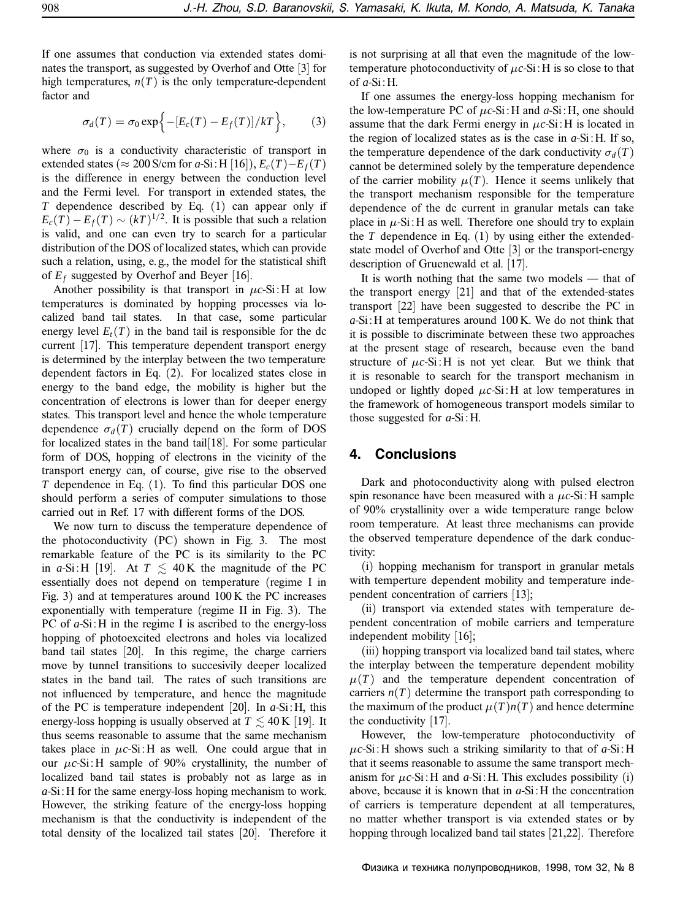If one assumes that conduction via extended states dominates the transport, as suggested by Overhof and Otte [3] for high temperatures,  $n(T)$  is the only temperature-dependent factor and

$$
\sigma_d(T) = \sigma_0 \exp\left\{-[E_c(T) - E_f(T)]/kT\right\},\qquad(3)
$$

where  $\sigma_0$  is a conductivity characteristic of transport in extended states ( $\approx 200$  S/cm for *a*-Si: H [16]),  $E_c(T)$ – $E_f(T)$ is the difference in energy between the conduction level and the Fermi level. For transport in extended states, the *T* dependence described by Eq. (1) can appear only if  $E_c(T) - E_f(T) \sim (kT)^{1/2}$ . It is possible that such a relation is valid, and one can even try to search for a particular distribution of the DOS of localized states, which can provide such a relation, using, e. g., the model for the statistical shift of  $E_f$  suggested by Overhof and Beyer [16].

Another possibility is that transport in  $\mu$ *c*-Si: H at low temperatures is dominated by hopping processes via localized band tail states. In that case, some particular energy level  $E_t(T)$  in the band tail is responsible for the dc current [17]. This temperature dependent transport energy is determined by the interplay between the two temperature dependent factors in Eq. (2). For localized states close in energy to the band edge, the mobility is higher but the concentration of electrons is lower than for deeper energy states. This transport level and hence the whole temperature dependence  $\sigma_d(T)$  crucially depend on the form of DOS for localized states in the band tail  $[18]$ . For some particular form of DOS, hopping of electrons in the vicinity of the transport energy can, of course, give rise to the observed *T* dependence in Eq. (1). To find this particular DOS one should perform a series of computer simulations to those carried out in Ref. 17 with different forms of the DOS.

We now turn to discuss the temperature dependence of the photoconductivity (PC) shown in Fig. 3. The most remarkable feature of the PC is its similarity to the PC in *a*-Si: H [19]. At  $T \le 40$  K the magnitude of the PC essentially does not depend on temperature (regime I in Fig. 3) and at temperatures around 100 K the PC increases exponentially with temperature (regime II in Fig. 3). The PC of *a*-Si: H in the regime I is ascribed to the energy-loss hopping of photoexcited electrons and holes via localized band tail states [20]. In this regime, the charge carriers move by tunnel transitions to succesivily deeper localized states in the band tail. The rates of such transitions are not influenced by temperature, and hence the magnitude of the PC is temperature independent [20]. In *a*-Si : H, this energy-loss hopping is usually observed at  $T \lesssim 40 \,\mathrm{K}$  [19]. It thus seems reasonable to assume that the same mechanism takes place in  $\mu c$ -Si: H as well. One could argue that in our µ*c*-Si : H sample of 90% crystallinity, the number of localized band tail states is probably not as large as in *a*-Si : H for the same energy-loss hoping mechanism to work. However, the striking feature of the energy-loss hopping mechanism is that the conductivity is independent of the total density of the localized tail states [20]. Therefore it

is not surprising at all that even the magnitude of the lowtemperature photoconductivity of  $\mu$ *c*-Si: H is so close to that of *a*-Si : H.

If one assumes the energy-loss hopping mechanism for the low-temperature PC of  $\mu$ *c*-Si : H and  $\alpha$ -Si : H, one should assume that the dark Fermi energy in  $\mu$ *c*-Si : H is located in the region of localized states as is the case in  $a$ -Si: H. If so, the temperature dependence of the dark conductivity  $\sigma_d(T)$ cannot be determined solely by the temperature dependence of the carrier mobility  $\mu(T)$ . Hence it seems unlikely that the transport mechanism responsible for the temperature dependence of the dc current in granular metals can take place in  $\mu$ -Si: H as well. Therefore one should try to explain the  $T$  dependence in Eq.  $(1)$  by using either the extendedstate model of Overhof and Otte [3] or the transport-energy description of Gruenewald et al. [17].

It is worth nothing that the same two models — that of the transport energy [21] and that of the extended-states transport [22] have been suggested to describe the PC in *a*-Si : H at temperatures around 100 K. We do not think that it is possible to discriminate between these two approaches at the present stage of research, because even the band structure of  $\mu$ *c*-Si : H is not yet clear. But we think that it is resonable to search for the transport mechanism in undoped or lightly doped  $\mu$ *c*-Si: H at low temperatures in the framework of homogeneous transport models similar to those suggested for *a*-Si : H.

#### **4. Conclusions**

Dark and photoconductivity along with pulsed electron spin resonance have been measured with a  $\mu$ *c*-Si : H sample of 90% crystallinity over a wide temperature range below room temperature. At least three mechanisms can provide the observed temperature dependence of the dark conductivity:

(i) hopping mechanism for transport in granular metals with temperture dependent mobility and temperature independent concentration of carriers [13];

(ii) transport via extended states with temperature dependent concentration of mobile carriers and temperature independent mobility [16];

(iii) hopping transport via localized band tail states, where the interplay between the temperature dependent mobility  $\mu(T)$  and the temperature dependent concentration of carriers  $n(T)$  determine the transport path corresponding to the maximum of the product  $\mu(T)n(T)$  and hence determine the conductivity [17].

However, the low-temperature photoconductivity of  $\mu$ *c*-Si : H shows such a striking similarity to that of  $a$ -Si : H that it seems reasonable to assume the same transport mechanism for  $\mu$ *c*-Si : H and *a*-Si : H. This excludes possibility (i) above, because it is known that in *a*-Si : H the concentration of carriers is temperature dependent at all temperatures, no matter whether transport is via extended states or by hopping through localized band tail states [21,22]. Therefore